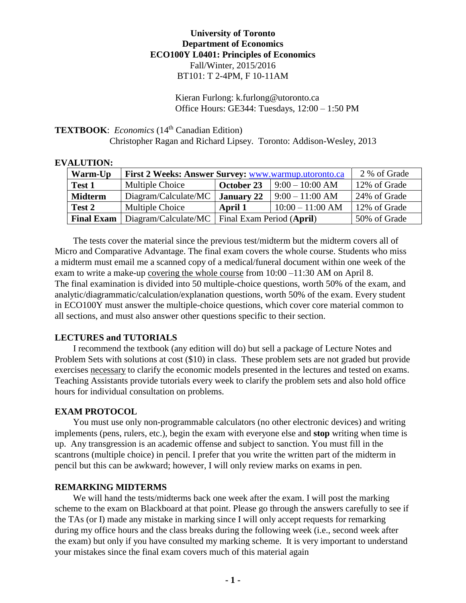# **University of Toronto Department of Economics ECO100Y L0401: Principles of Economics** Fall/Winter, 2015/2016 BT101: T 2-4PM, F 10-11AM

Kieran Furlong: k.furlong@utoronto.ca Office Hours: GE344: Tuesdays, 12:00 – 1:50 PM

**TEXTBOOK:** *Economics* (14<sup>th</sup> Canadian Edition)

Christopher Ragan and Richard Lipsey. Toronto: Addison-Wesley, 2013

| ALU HUN:          |                                                      |                                                  |                    |              |
|-------------------|------------------------------------------------------|--------------------------------------------------|--------------------|--------------|
| Warm-Up           | First 2 Weeks: Answer Survey: www.warmup.utoronto.ca |                                                  |                    | 2 % of Grade |
| Test 1            | Multiple Choice                                      | October 23                                       | $9:00 - 10:00 AM$  | 12% of Grade |
| <b>Midterm</b>    | Diagram/Calculate/MC                                 | <b>January 22</b>                                | $9:00 - 11:00 AM$  | 24% of Grade |
| Test 2            | Multiple Choice                                      | April 1                                          | $10:00 - 11:00$ AM | 12% of Grade |
| <b>Final Exam</b> |                                                      | Diagram/Calculate/MC   Final Exam Period (April) |                    | 50% of Grade |

**EVALUTION:**

The tests cover the material since the previous test/midterm but the midterm covers all of Micro and Comparative Advantage. The final exam covers the whole course. Students who miss a midterm must email me a scanned copy of a medical/funeral document within one week of the exam to write a make-up covering the whole course from 10:00 –11:30 AM on April 8. The final examination is divided into 50 multiple-choice questions, worth 50% of the exam, and analytic/diagrammatic/calculation/explanation questions, worth 50% of the exam. Every student in ECO100Y must answer the multiple-choice questions, which cover core material common to all sections, and must also answer other questions specific to their section.

# **LECTURES and TUTORIALS**

I recommend the textbook (any edition will do) but sell a package of Lecture Notes and Problem Sets with solutions at cost (\$10) in class. These problem sets are not graded but provide exercises necessary to clarify the economic models presented in the lectures and tested on exams. Teaching Assistants provide tutorials every week to clarify the problem sets and also hold office hours for individual consultation on problems.

#### **EXAM PROTOCOL**

You must use only non-programmable calculators (no other electronic devices) and writing implements (pens, rulers, etc.), begin the exam with everyone else and **stop** writing when time is up. Any transgression is an academic offense and subject to sanction. You must fill in the scantrons (multiple choice) in pencil. I prefer that you write the written part of the midterm in pencil but this can be awkward; however, I will only review marks on exams in pen.

#### **REMARKING MIDTERMS**

We will hand the tests/midterms back one week after the exam. I will post the marking scheme to the exam on Blackboard at that point. Please go through the answers carefully to see if the TAs (or I) made any mistake in marking since I will only accept requests for remarking during my office hours and the class breaks during the following week (i.e., second week after the exam) but only if you have consulted my marking scheme. It is very important to understand your mistakes since the final exam covers much of this material again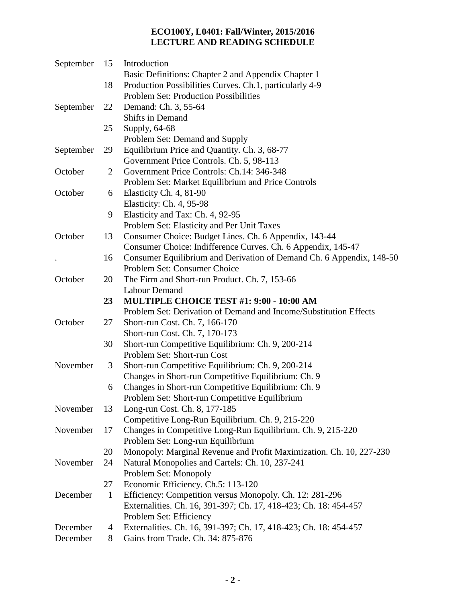# **ECO100Y, L0401: Fall/Winter, 2015/2016 LECTURE AND READING SCHEDULE**

| September | 15             | Introduction                                                         |
|-----------|----------------|----------------------------------------------------------------------|
|           |                | Basic Definitions: Chapter 2 and Appendix Chapter 1                  |
|           | 18             | Production Possibilities Curves. Ch.1, particularly 4-9              |
|           |                | <b>Problem Set: Production Possibilities</b>                         |
| September | 22             | Demand: Ch. 3, 55-64                                                 |
|           |                | Shifts in Demand                                                     |
|           | 25             | Supply, 64-68                                                        |
|           |                | Problem Set: Demand and Supply                                       |
| September | 29             | Equilibrium Price and Quantity. Ch. 3, 68-77                         |
|           |                | Government Price Controls. Ch. 5, 98-113                             |
| October   | $\overline{2}$ | Government Price Controls: Ch.14: 346-348                            |
|           |                | Problem Set: Market Equilibrium and Price Controls                   |
| October   | 6              | Elasticity Ch. 4, 81-90                                              |
|           |                | Elasticity: Ch. 4, 95-98                                             |
|           | 9              | Elasticity and Tax: Ch. 4, 92-95                                     |
|           |                | Problem Set: Elasticity and Per Unit Taxes                           |
| October   | 13             | Consumer Choice: Budget Lines. Ch. 6 Appendix, 143-44                |
|           |                | Consumer Choice: Indifference Curves. Ch. 6 Appendix, 145-47         |
|           | 16             | Consumer Equilibrium and Derivation of Demand Ch. 6 Appendix, 148-50 |
|           |                | Problem Set: Consumer Choice                                         |
| October   | 20             | The Firm and Short-run Product. Ch. 7, 153-66                        |
|           |                | <b>Labour Demand</b>                                                 |
|           | 23             | MULTIPLE CHOICE TEST #1: 9:00 - 10:00 AM                             |
|           |                | Problem Set: Derivation of Demand and Income/Substitution Effects    |
| October   | 27             | Short-run Cost. Ch. 7, 166-170                                       |
|           |                | Short-run Cost. Ch. 7, 170-173                                       |
|           | 30             | Short-run Competitive Equilibrium: Ch. 9, 200-214                    |
|           |                | Problem Set: Short-run Cost                                          |
| November  | 3              | Short-run Competitive Equilibrium: Ch. 9, 200-214                    |
|           |                | Changes in Short-run Competitive Equilibrium: Ch. 9                  |
|           | 6              | Changes in Short-run Competitive Equilibrium: Ch. 9                  |
|           |                | Problem Set: Short-run Competitive Equilibrium                       |
| November  | 13             | Long-run Cost. Ch. 8, 177-185                                        |
|           |                | Competitive Long-Run Equilibrium. Ch. 9, 215-220                     |
| November  | 17             | Changes in Competitive Long-Run Equilibrium. Ch. 9, 215-220          |
|           |                | Problem Set: Long-run Equilibrium                                    |
|           | 20             | Monopoly: Marginal Revenue and Profit Maximization. Ch. 10, 227-230  |
| November  | 24             | Natural Monopolies and Cartels: Ch. 10, 237-241                      |
|           |                | Problem Set: Monopoly                                                |
|           | 27             | Economic Efficiency. Ch.5: 113-120                                   |
| December  | $\mathbf{1}$   | Efficiency: Competition versus Monopoly. Ch. 12: 281-296             |
|           |                | Externalities. Ch. 16, 391-397; Ch. 17, 418-423; Ch. 18: 454-457     |
|           |                | Problem Set: Efficiency                                              |
| December  | 4              | Externalities. Ch. 16, 391-397; Ch. 17, 418-423; Ch. 18: 454-457     |
| December  | 8              | Gains from Trade. Ch. 34: 875-876                                    |